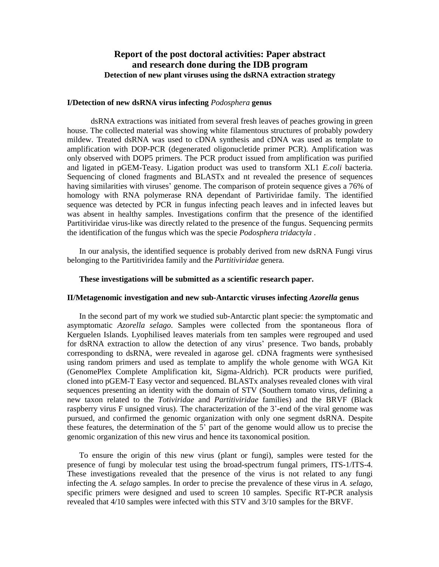## **Report of the post doctoral activities: Paper abstract and research done during the IDB program Detection of new plant viruses using the dsRNA extraction strategy**

## **I/Detection of new dsRNA virus infecting** *Podosphera* **genus**

dsRNA extractions was initiated from several fresh leaves of peaches growing in green house. The collected material was showing white filamentous structures of probably powdery mildew. Treated dsRNA was used to cDNA synthesis and cDNA was used as template to amplification with DOP-PCR (degenerated oligonucletide primer PCR). Amplification was only observed with DOP5 primers. The PCR product issued from amplification was purified and ligated in pGEM-Teasy. Ligation product was used to transform XL1 *E.coli* bacteria. Sequencing of cloned fragments and BLASTx and nt revealed the presence of sequences having similarities with viruses' genome. The comparison of protein sequence gives a 76% of homology with RNA polymerase RNA dependant of Partiviridae family. The identified sequence was detected by PCR in fungus infecting peach leaves and in infected leaves but was absent in healthy samples. Investigations confirm that the presence of the identified Partitiviridae virus-like was directly related to the presence of the fungus. Sequencing permits the identification of the fungus which was the specie *Podosphera tridactyla* .

In our analysis, the identified sequence is probably derived from new dsRNA Fungi virus belonging to the Partitiviridea family and the *Partitiviridae* genera.

## **These investigations will be submitted as a scientific research paper.**

## **II/Metagenomic investigation and new sub-Antarctic viruses infecting** *Azorella* **genus**

In the second part of my work we studied sub-Antarctic plant specie: the symptomatic and asymptomatic *Azorella selago*. Samples were collected from the spontaneous flora of Kerguelen Islands. Lyophilised leaves materials from ten samples were regrouped and used for dsRNA extraction to allow the detection of any virus' presence. Two bands, probably corresponding to dsRNA, were revealed in agarose gel. cDNA fragments were synthesised using random primers and used as template to amplify the whole genome with WGA Kit (GenomePlex Complete Amplification kit, Sigma-Aldrich). PCR products were purified, cloned into pGEM-T Easy vector and sequenced. BLASTx analyses revealed clones with viral sequences presenting an identity with the domain of STV (Southern tomato virus, defining a new taxon related to the *Totiviridae* and *Partitiviridae* families) and the BRVF (Black raspberry virus F unsigned virus). The characterization of the 3'-end of the viral genome was pursued, and confirmed the genomic organization with only one segment dsRNA. Despite these features, the determination of the 5' part of the genome would allow us to precise the genomic organization of this new virus and hence its taxonomical position.

To ensure the origin of this new virus (plant or fungi), samples were tested for the presence of fungi by molecular test using the broad-spectrum fungal primers, ITS-1/ITS-4. These investigations revealed that the presence of the virus is not related to any fungi infecting the *A. selago* samples. In order to precise the prevalence of these virus in *A. selago*, specific primers were designed and used to screen 10 samples. Specific RT-PCR analysis revealed that 4/10 samples were infected with this STV and 3/10 samples for the BRVF.